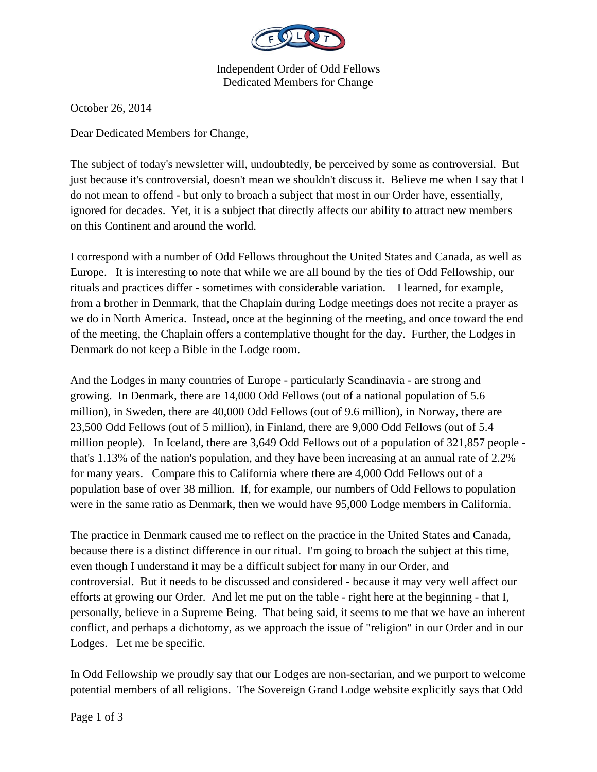

Independent Order of Odd Fellows Dedicated Members for Change

October 26, 2014

Dear Dedicated Members for Change,

The subject of today's newsletter will, undoubtedly, be perceived by some as controversial. But just because it's controversial, doesn't mean we shouldn't discuss it. Believe me when I say that I do not mean to offend - but only to broach a subject that most in our Order have, essentially, ignored for decades. Yet, it is a subject that directly affects our ability to attract new members on this Continent and around the world.

I correspond with a number of Odd Fellows throughout the United States and Canada, as well as Europe. It is interesting to note that while we are all bound by the ties of Odd Fellowship, our rituals and practices differ - sometimes with considerable variation. I learned, for example, from a brother in Denmark, that the Chaplain during Lodge meetings does not recite a prayer as we do in North America. Instead, once at the beginning of the meeting, and once toward the end of the meeting, the Chaplain offers a contemplative thought for the day. Further, the Lodges in Denmark do not keep a Bible in the Lodge room.

And the Lodges in many countries of Europe - particularly Scandinavia - are strong and growing. In Denmark, there are 14,000 Odd Fellows (out of a national population of 5.6 million), in Sweden, there are 40,000 Odd Fellows (out of 9.6 million), in Norway, there are 23,500 Odd Fellows (out of 5 million), in Finland, there are 9,000 Odd Fellows (out of 5.4 million people). In Iceland, there are 3,649 Odd Fellows out of a population of 321,857 people that's 1.13% of the nation's population, and they have been increasing at an annual rate of 2.2% for many years. Compare this to California where there are 4,000 Odd Fellows out of a population base of over 38 million. If, for example, our numbers of Odd Fellows to population were in the same ratio as Denmark, then we would have 95,000 Lodge members in California.

The practice in Denmark caused me to reflect on the practice in the United States and Canada, because there is a distinct difference in our ritual. I'm going to broach the subject at this time, even though I understand it may be a difficult subject for many in our Order, and controversial. But it needs to be discussed and considered - because it may very well affect our efforts at growing our Order. And let me put on the table - right here at the beginning - that I, personally, believe in a Supreme Being. That being said, it seems to me that we have an inherent conflict, and perhaps a dichotomy, as we approach the issue of "religion" in our Order and in our Lodges. Let me be specific.

In Odd Fellowship we proudly say that our Lodges are non-sectarian, and we purport to welcome potential members of all religions. The Sovereign Grand Lodge website explicitly says that Odd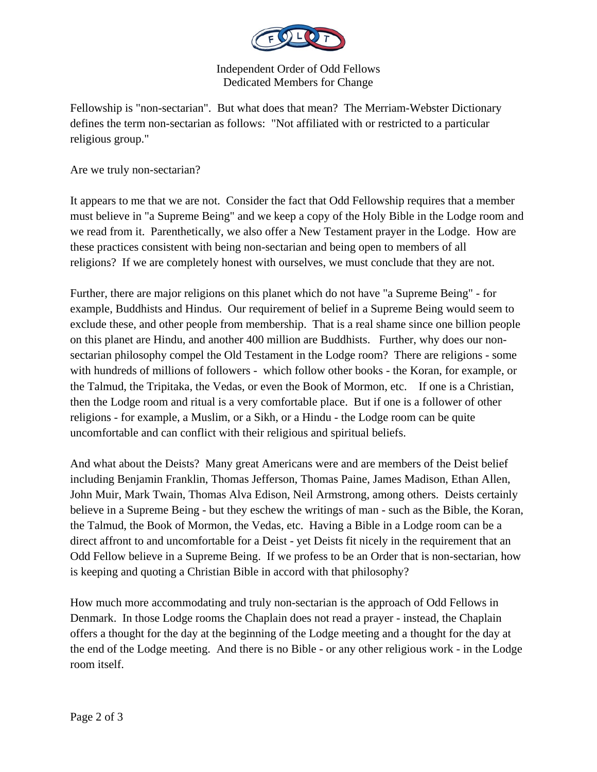

Independent Order of Odd Fellows Dedicated Members for Change

Fellowship is "non-sectarian". But what does that mean? The Merriam-Webster Dictionary defines the term non-sectarian as follows: "Not affiliated with or restricted to a particular religious group."

Are we truly non-sectarian?

It appears to me that we are not. Consider the fact that Odd Fellowship requires that a member must believe in "a Supreme Being" and we keep a copy of the Holy Bible in the Lodge room and we read from it. Parenthetically, we also offer a New Testament prayer in the Lodge. How are these practices consistent with being non-sectarian and being open to members of all religions? If we are completely honest with ourselves, we must conclude that they are not.

Further, there are major religions on this planet which do not have "a Supreme Being" - for example, Buddhists and Hindus. Our requirement of belief in a Supreme Being would seem to exclude these, and other people from membership. That is a real shame since one billion people on this planet are Hindu, and another 400 million are Buddhists. Further, why does our nonsectarian philosophy compel the Old Testament in the Lodge room? There are religions - some with hundreds of millions of followers - which follow other books - the Koran, for example, or the Talmud, the Tripitaka, the Vedas, or even the Book of Mormon, etc. If one is a Christian, then the Lodge room and ritual is a very comfortable place. But if one is a follower of other religions - for example, a Muslim, or a Sikh, or a Hindu - the Lodge room can be quite uncomfortable and can conflict with their religious and spiritual beliefs.

And what about the Deists? Many great Americans were and are members of the Deist belief including Benjamin Franklin, Thomas Jefferson, Thomas Paine, James Madison, Ethan Allen, John Muir, Mark Twain, Thomas Alva Edison, Neil Armstrong, among others. Deists certainly believe in a Supreme Being - but they eschew the writings of man - such as the Bible, the Koran, the Talmud, the Book of Mormon, the Vedas, etc. Having a Bible in a Lodge room can be a direct affront to and uncomfortable for a Deist - yet Deists fit nicely in the requirement that an Odd Fellow believe in a Supreme Being. If we profess to be an Order that is non-sectarian, how is keeping and quoting a Christian Bible in accord with that philosophy?

How much more accommodating and truly non-sectarian is the approach of Odd Fellows in Denmark. In those Lodge rooms the Chaplain does not read a prayer - instead, the Chaplain offers a thought for the day at the beginning of the Lodge meeting and a thought for the day at the end of the Lodge meeting. And there is no Bible - or any other religious work - in the Lodge room itself.